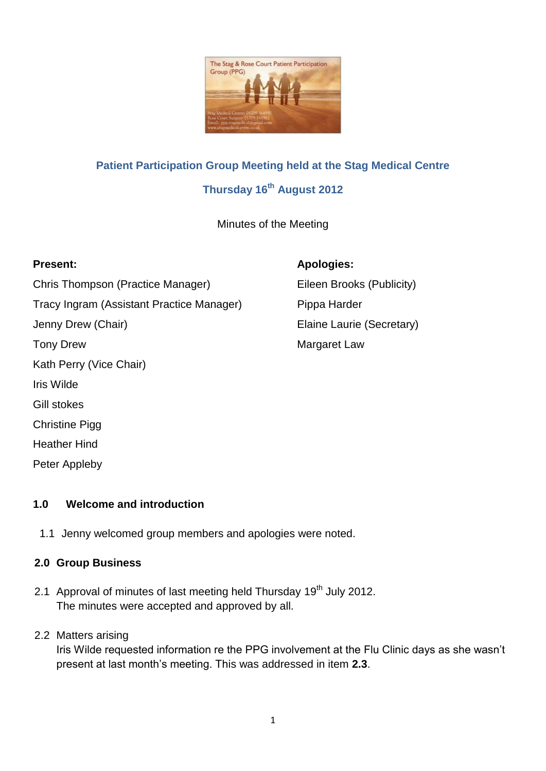

# **Patient Participation Group Meeting held at the Stag Medical Centre Thursday 16th August 2012**

Minutes of the Meeting

#### **Present: Apologies:**

Chris Thompson (Practice Manager) Eileen Brooks (Publicity) Tracy Ingram (Assistant Practice Manager) Pippa Harder Jenny Drew (Chair) **Elaine Laurie (Secretary)** Tony Drew **Margaret Law** Kath Perry (Vice Chair) Iris Wilde Gill stokes Christine Pigg Heather Hind

# **1.0 Welcome and introduction**

1.1 Jenny welcomed group members and apologies were noted.

#### **2.0 Group Business**

Peter Appleby

2.1 Approval of minutes of last meeting held Thursday 19<sup>th</sup> July 2012. The minutes were accepted and approved by all.

#### 2.2 Matters arising

Iris Wilde requested information re the PPG involvement at the Flu Clinic days as she wasn't present at last month's meeting. This was addressed in item **2.3**.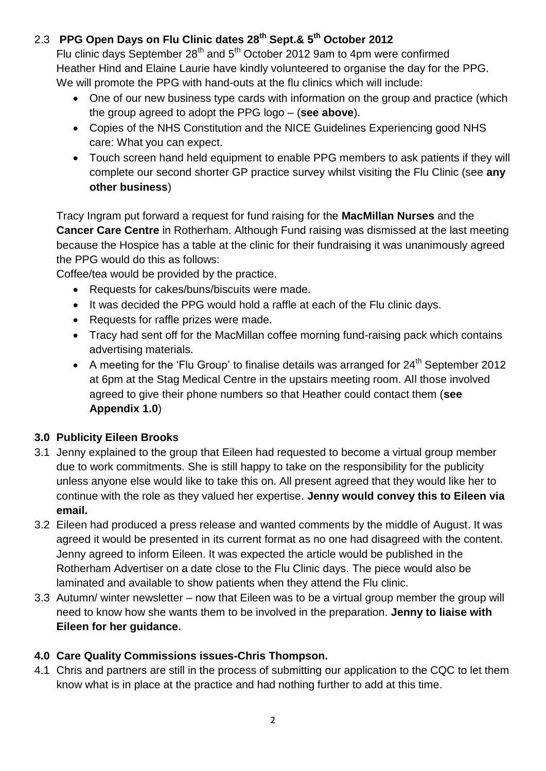# 2.3 **PPG Open Days on Flu Clinic dates 28th Sept.& 5th October 2012**

Flu clinic days September 28<sup>th</sup> and 5<sup>th</sup> October 2012 9am to 4pm were confirmed Heather Hind and Elaine Laurie have kindly volunteered to organise the day for the PPG. We will promote the PPG with hand-outs at the flu clinics which will include:

- One of our new business type cards with information on the group and practice (which the group agreed to adopt the PPG logo – (**see above**).
- Copies of the NHS Constitution and the NICE Guidelines Experiencing good NHS care: What you can expect.
- Touch screen hand held equipment to enable PPG members to ask patients if they will complete our second shorter GP practice survey whilst visiting the Flu Clinic (see **any other business**)

Tracy Ingram put forward a request for fund raising for the **MacMillan Nurses** and the **Cancer Care Centre** in Rotherham. Although Fund raising was dismissed at the last meeting because the Hospice has a table at the clinic for their fundraising it was unanimously agreed the PPG would do this as follows:

Coffee/tea would be provided by the practice.

- Requests for cakes/buns/biscuits were made.
- It was decided the PPG would hold a raffle at each of the Flu clinic days.
- Requests for raffle prizes were made.
- Tracy had sent off for the MacMillan coffee morning fund-raising pack which contains advertising materials.
- A meeting for the 'Flu Group' to finalise details was arranged for  $24<sup>th</sup>$  September 2012 at 6pm at the Stag Medical Centre in the upstairs meeting room. All those involved agreed to give their phone numbers so that Heather could contact them (**see Appendix 1.0**)

# **3.0 Publicity Eileen Brooks**

- 3.1 Jenny explained to the group that Eileen had requested to become a virtual group member due to work commitments. She is still happy to take on the responsibility for the publicity unless anyone else would like to take this on. All present agreed that they would like her to continue with the role as they valued her expertise. **Jenny would convey this to Eileen via email.**
- 3.2 Eileen had produced a press release and wanted comments by the middle of August. It was agreed it would be presented in its current format as no one had disagreed with the content. Jenny agreed to inform Eileen. It was expected the article would be published in the Rotherham Advertiser on a date close to the Flu Clinic days. The piece would also be laminated and available to show patients when they attend the Flu clinic.
- 3.3 Autumn/ winter newsletter now that Eileen was to be a virtual group member the group will need to know how she wants them to be involved in the preparation. **Jenny to liaise with Eileen for her guidance.**

# **4.0 Care Quality Commissions issues-Chris Thompson.**

4.1 Chris and partners are still in the process of submitting our application to the CQC to let them know what is in place at the practice and had nothing further to add at this time.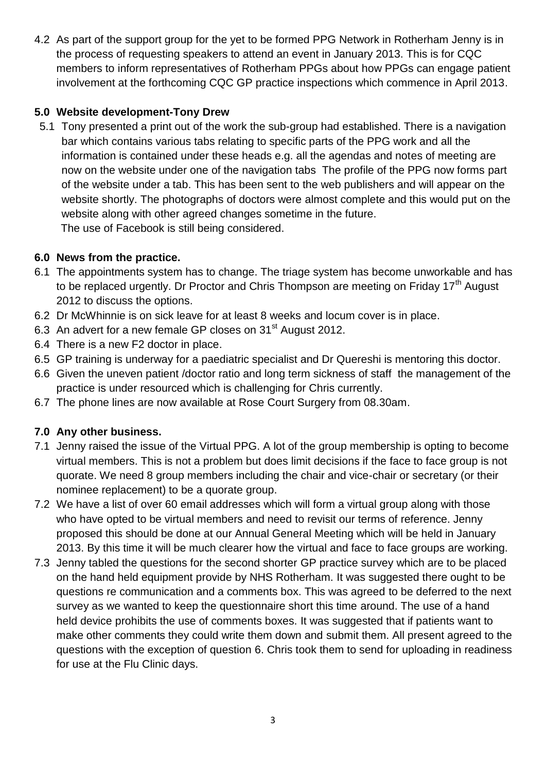4.2 As part of the support group for the yet to be formed PPG Network in Rotherham Jenny is in the process of requesting speakers to attend an event in January 2013. This is for CQC members to inform representatives of Rotherham PPGs about how PPGs can engage patient involvement at the forthcoming CQC GP practice inspections which commence in April 2013.

### **5.0 Website development-Tony Drew**

5.1 Tony presented a print out of the work the sub-group had established. There is a navigation bar which contains various tabs relating to specific parts of the PPG work and all the information is contained under these heads e.g. all the agendas and notes of meeting are now on the website under one of the navigation tabs The profile of the PPG now forms part of the website under a tab. This has been sent to the web publishers and will appear on the website shortly. The photographs of doctors were almost complete and this would put on the website along with other agreed changes sometime in the future. The use of Facebook is still being considered.

#### **6.0 News from the practice.**

- 6.1 The appointments system has to change. The triage system has become unworkable and has to be replaced urgently. Dr Proctor and Chris Thompson are meeting on Friday 17<sup>th</sup> August 2012 to discuss the options.
- 6.2 Dr McWhinnie is on sick leave for at least 8 weeks and locum cover is in place.
- 6.3 An advert for a new female GP closes on 31<sup>st</sup> August 2012.
- 6.4 There is a new F2 doctor in place.
- 6.5 GP training is underway for a paediatric specialist and Dr Quereshi is mentoring this doctor.
- 6.6 Given the uneven patient /doctor ratio and long term sickness of staff the management of the practice is under resourced which is challenging for Chris currently.
- 6.7 The phone lines are now available at Rose Court Surgery from 08.30am.

# **7.0 Any other business.**

- 7.1 Jenny raised the issue of the Virtual PPG. A lot of the group membership is opting to become virtual members. This is not a problem but does limit decisions if the face to face group is not quorate. We need 8 group members including the chair and vice-chair or secretary (or their nominee replacement) to be a quorate group.
- 7.2 We have a list of over 60 email addresses which will form a virtual group along with those who have opted to be virtual members and need to revisit our terms of reference. Jenny proposed this should be done at our Annual General Meeting which will be held in January 2013. By this time it will be much clearer how the virtual and face to face groups are working.
- 7.3 Jenny tabled the questions for the second shorter GP practice survey which are to be placed on the hand held equipment provide by NHS Rotherham. It was suggested there ought to be questions re communication and a comments box. This was agreed to be deferred to the next survey as we wanted to keep the questionnaire short this time around. The use of a hand held device prohibits the use of comments boxes. It was suggested that if patients want to make other comments they could write them down and submit them. All present agreed to the questions with the exception of question 6. Chris took them to send for uploading in readiness for use at the Flu Clinic days.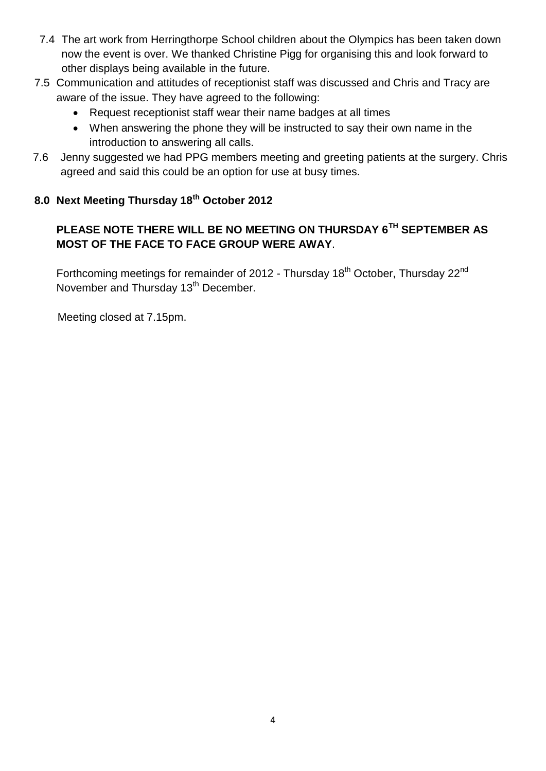- 7.4 The art work from Herringthorpe School children about the Olympics has been taken down now the event is over. We thanked Christine Pigg for organising this and look forward to other displays being available in the future.
- 7.5 Communication and attitudes of receptionist staff was discussed and Chris and Tracy are aware of the issue. They have agreed to the following:
	- Request receptionist staff wear their name badges at all times
	- When answering the phone they will be instructed to say their own name in the introduction to answering all calls.
- 7.6 Jenny suggested we had PPG members meeting and greeting patients at the surgery. Chris agreed and said this could be an option for use at busy times.

# **8.0 Next Meeting Thursday 18th October 2012**

# **PLEASE NOTE THERE WILL BE NO MEETING ON THURSDAY 6TH SEPTEMBER AS MOST OF THE FACE TO FACE GROUP WERE AWAY**.

Forthcoming meetings for remainder of 2012 - Thursday 18<sup>th</sup> October, Thursday 22<sup>nd</sup> November and Thursday 13<sup>th</sup> December.

Meeting closed at 7.15pm.